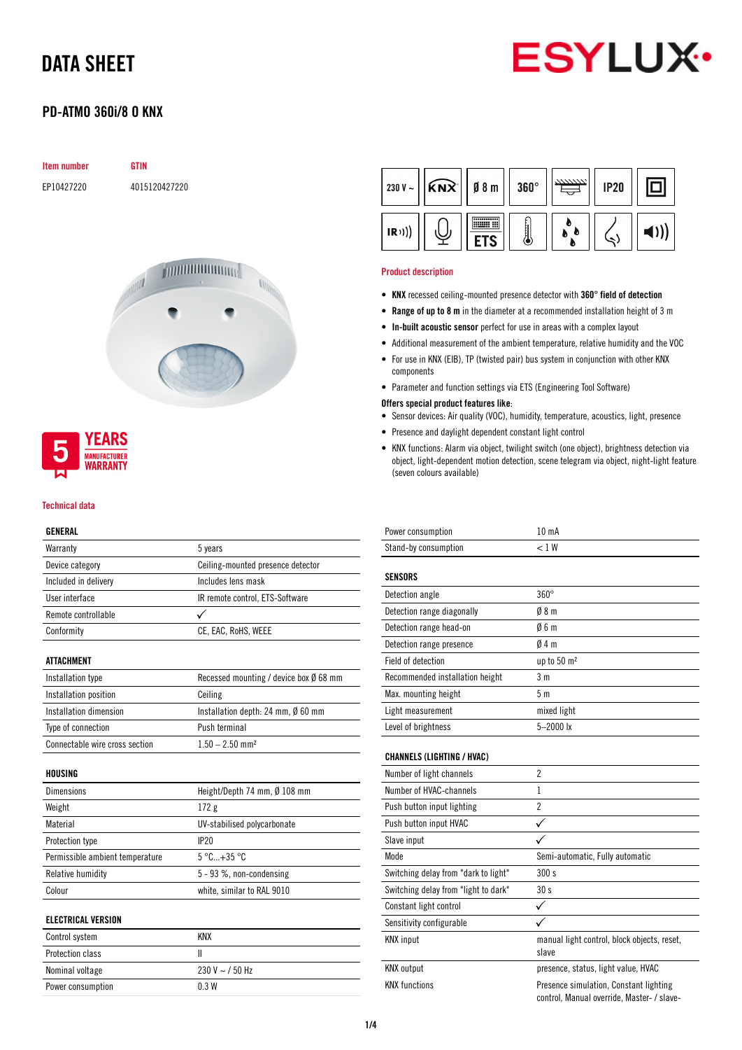

### PD-ATMO 360i/8 O KNX

| <b>Item number</b> | <b>GTIN</b>   |
|--------------------|---------------|
| EP10427220         | 4015120427220 |
|                    |               |





#### Technical data

#### GENERAL

| Warranty             | 5 years                           |
|----------------------|-----------------------------------|
| Device category      | Ceiling-mounted presence detector |
| Included in delivery | Includes lens mask                |
| User interface       | IR remote control, ETS-Software   |
| Remote controllable  |                                   |
| Conformity           | CE, EAC, RoHS, WEEE               |
|                      |                                   |

#### ATTACHMENT

| Installation type              | Recessed mounting / device box $\emptyset$ 68 mm |
|--------------------------------|--------------------------------------------------|
| Installation position          | Ceiling                                          |
| Installation dimension         | Installation depth: 24 mm, $\emptyset$ 60 mm     |
| Type of connection             | Push terminal                                    |
| Connectable wire cross section | $1.50 - 2.50$ mm <sup>2</sup>                    |

#### HOUSING

| <b>Dimensions</b>               | Height/Depth 74 mm, Ø 108 mm    |
|---------------------------------|---------------------------------|
| Weight                          | 172g                            |
| Material                        | UV-stabilised polycarbonate     |
| Protection type                 | IP <sub>20</sub>                |
| Permissible ambient temperature | $5^{\circ}$ C +35 $^{\circ}$ C. |
| Relative humidity               | $5 - 93$ %, non-condensing      |
| Colour                          | white, similar to RAL 9010      |

#### ELECTRICAL VERSION

| Control system          | KNX                 |
|-------------------------|---------------------|
| <b>Protection class</b> |                     |
| Nominal voltage         | $230 V \sim 750 Hz$ |
| Power consumption       | 0.3W                |

| $\widehat{KNX}$<br>230 V $\sim$ | $\emptyset$ 8 m | $360^\circ$ | <b>IP20</b> |  |
|---------------------------------|-----------------|-------------|-------------|--|
| (R))                            |                 |             |             |  |

#### Product description

- KNX recessed ceiling-mounted presence detector with 360° field of detection
- Range of up to 8 m in the diameter at a recommended installation height of 3 m
- In-built acoustic sensor perfect for use in areas with a complex layout
- Additional measurement of the ambient temperature, relative humidity and the VOC
- For use in KNX (EIB), TP (twisted pair) bus system in conjunction with other KNX components
- Parameter and function settings via ETS (Engineering Tool Software)

#### Offers special product features like:

- Sensor devices: Air quality (VOC), humidity, temperature, acoustics, light, presence
- Presence and daylight dependent constant light control
- KNX functions: Alarm via object, twilight switch (one object), brightness detection via object, light-dependent motion detection, scene telegram via object, night-light feature (seven colours available)

| Power consumption                    | 10 <sub>m</sub> A                                    |
|--------------------------------------|------------------------------------------------------|
| Stand-by consumption                 | < 1 W                                                |
| <b>SENSORS</b>                       |                                                      |
| Detection angle                      | $360^\circ$                                          |
| Detection range diagonally           | 08 <sub>m</sub>                                      |
| Detection range head-on              | 06m                                                  |
| Detection range presence             | 04m                                                  |
| Field of detection                   | up to 50 m <sup>2</sup>                              |
| Recommended installation height      | 3 <sub>m</sub>                                       |
| Max. mounting height                 | 5m                                                   |
| Light measurement                    | mixed light                                          |
| Level of brightness                  | 5-2000 lx                                            |
| <b>CHANNELS (LIGHTING / HVAC)</b>    |                                                      |
| Number of light channels             |                                                      |
|                                      | $\overline{2}$                                       |
| Number of HVAC-channels              | 1                                                    |
| Push button input lighting           | $\overline{c}$                                       |
| Push button input HVAC               | $\checkmark$                                         |
| Slave input                          |                                                      |
| Mode                                 | Semi-automatic, Fully automatic                      |
| Switching delay from "dark to light" | 300 s                                                |
| Switching delay from "light to dark" | 30 <sub>s</sub>                                      |
| Constant light control               | $\checkmark$                                         |
| Sensitivity configurable             |                                                      |
| <b>KNX</b> input                     | manual light control, block objects, reset,<br>slave |
| <b>KNX</b> output                    | presence, status, light value, HVAC                  |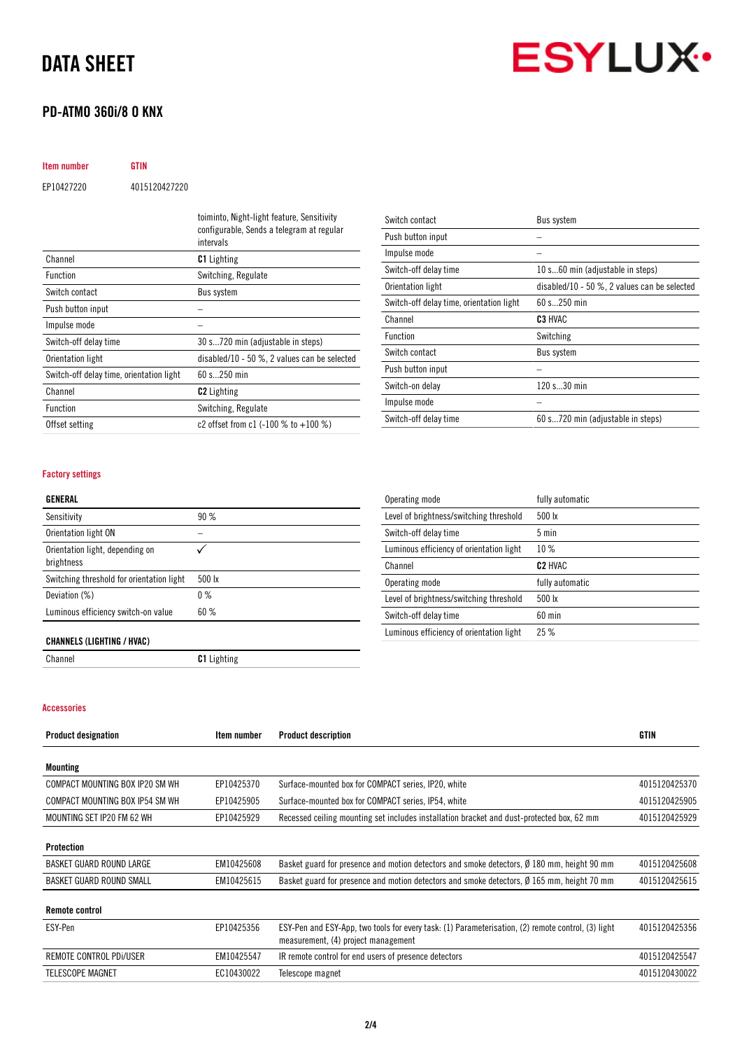### PD-ATMO 360i/8 O KNX

**ESYLUX·** 

| <b>Item number</b> | <b>GTIN</b>   |
|--------------------|---------------|
| EP10427220         | 4015120427220 |
|                    |               |

|                                          | toiminto, Night-light feature, Sensitivity<br>configurable, Sends a telegram at regular<br>intervals |
|------------------------------------------|------------------------------------------------------------------------------------------------------|
| Channel                                  | <b>C1</b> Lighting                                                                                   |
| <b>Function</b>                          | Switching, Regulate                                                                                  |
| Switch contact                           | <b>Bus system</b>                                                                                    |
| Push button input                        |                                                                                                      |
| Impulse mode                             |                                                                                                      |
| Switch-off delay time                    | 30 s720 min (adjustable in steps)                                                                    |
| Orientation light                        | disabled/10 - 50 $\%$ , 2 values can be selected                                                     |
| Switch-off delay time, orientation light | 60 s 250 min                                                                                         |
| Channel                                  | <b>C2</b> Lighting                                                                                   |
| <b>Function</b>                          | Switching, Regulate                                                                                  |
| Offset setting                           | c2 offset from c1 $(-100\%$ to $+100\%)$                                                             |

| Switch contact                           | Bus system                                       |
|------------------------------------------|--------------------------------------------------|
| Push button input                        |                                                  |
| Impulse mode                             |                                                  |
| Switch-off delay time                    | 10 s60 min (adjustable in steps)                 |
| Orientation light                        | disabled/10 - 50 $\%$ , 2 values can be selected |
| Switch-off delay time, orientation light | 60 s 250 min                                     |
| Channel                                  | C <sub>3</sub> HVAC                              |
| <b>Function</b>                          | Switching                                        |
| Switch contact                           | Bus system                                       |
| Push button input                        |                                                  |
| Switch-on delay                          | 120 s30 min                                      |
| Impulse mode                             |                                                  |
| Switch-off delay time                    | 60 s720 min (adjustable in steps)                |

#### Factory settings

#### GENERAL

| Sensitivity                                   | 90 %   |
|-----------------------------------------------|--------|
| Orientation light ON                          |        |
| Orientation light, depending on<br>brightness |        |
| Switching threshold for orientation light     | 500 lx |
| Deviation (%)                                 | $0\%$  |
| Luminous efficiency switch-on value           | 60%    |
|                                               |        |

| Operating mode                           | fully automatic     |
|------------------------------------------|---------------------|
| Level of brightness/switching threshold  | 500 lx              |
| Switch-off delay time                    | $5 \text{ min}$     |
| Luminous efficiency of orientation light | 10%                 |
| Channel                                  | C <sub>2</sub> HVAC |
| Operating mode                           | fully automatic     |
| Level of brightness/switching threshold  | 500 lx              |
| Switch-off delay time                    | $60$ min            |
| Luminous efficiency of orientation light | 25%                 |

#### CHANNELS (LIGHTING / HVAC)

Channel Channel C1 Lighting

## Accessories

| <b>Product designation</b>      | Item number | <b>Product description</b>                                                                                                                | <b>GTIN</b>   |
|---------------------------------|-------------|-------------------------------------------------------------------------------------------------------------------------------------------|---------------|
| <b>Mounting</b>                 |             |                                                                                                                                           |               |
| COMPACT MOUNTING BOX IP20 SM WH | EP10425370  | Surface-mounted box for COMPACT series, IP20, white                                                                                       | 4015120425370 |
| COMPACT MOUNTING BOX IP54 SM WH | EP10425905  | Surface-mounted box for COMPACT series, IP54, white                                                                                       | 4015120425905 |
| MOUNTING SET IP20 FM 62 WH      | EP10425929  | Recessed ceiling mounting set includes installation bracket and dust-protected box, 62 mm                                                 | 4015120425929 |
| Protection                      |             |                                                                                                                                           |               |
| BASKET GUARD ROUND LARGE        | EM10425608  | Basket guard for presence and motion detectors and smoke detectors, Ø 180 mm, height 90 mm                                                | 4015120425608 |
| BASKET GUARD ROUND SMALL        | EM10425615  | Basket guard for presence and motion detectors and smoke detectors, Ø 165 mm, height 70 mm                                                | 4015120425615 |
| <b>Remote control</b>           |             |                                                                                                                                           |               |
| ESY-Pen                         | EP10425356  | ESY-Pen and ESY-App, two tools for every task: (1) Parameterisation, (2) remote control, (3) light<br>measurement, (4) project management | 4015120425356 |
| REMOTE CONTROL PDI/USER         | EM10425547  | IR remote control for end users of presence detectors                                                                                     | 4015120425547 |
| <b>TELESCOPE MAGNET</b>         | EC10430022  | Telescope magnet                                                                                                                          | 4015120430022 |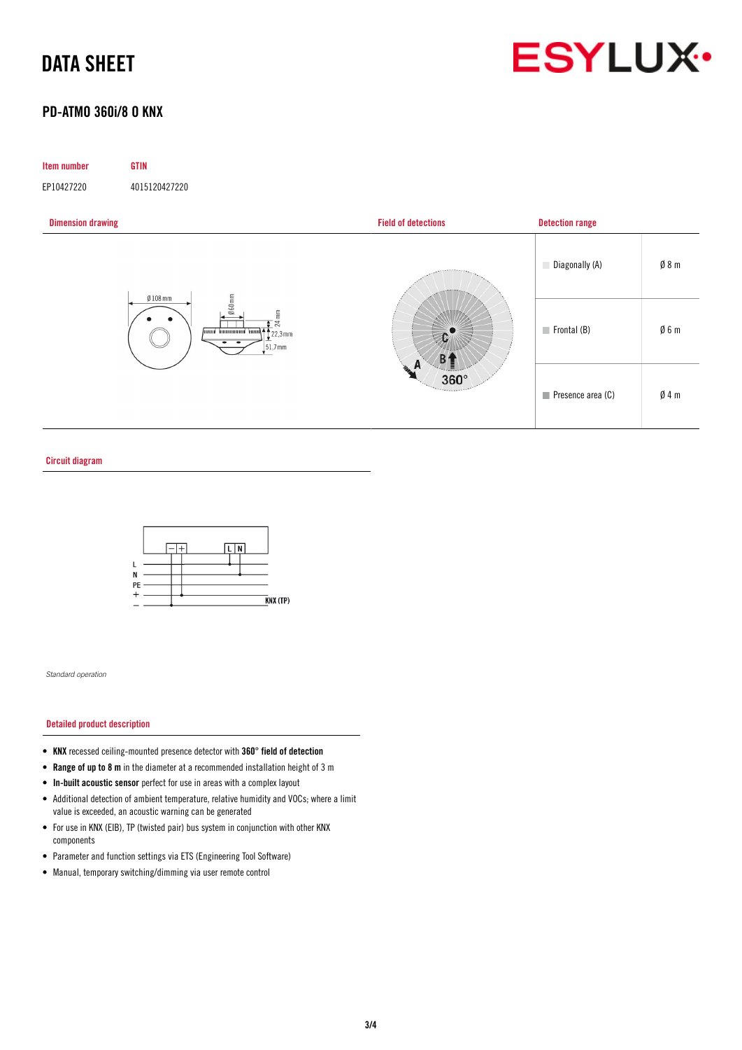

### PD-ATMO 360i/8 O KNX

#### Item number GTIN

EP10427220 4015120427220



#### Circuit diagram



*Standard operation*

#### Detailed product description

- KNX recessed ceiling-mounted presence detector with 360° field of detection
- Range of up to 8 m in the diameter at a recommended installation height of 3 m
- In-built acoustic sensor perfect for use in areas with a complex layout
- Additional detection of ambient temperature, relative humidity and VOCs; where a limit value is exceeded, an acoustic warning can be generated
- For use in KNX (EIB), TP (twisted pair) bus system in conjunction with other KNX components
- Parameter and function settings via ETS (Engineering Tool Software)
- Manual, temporary switching/dimming via user remote control